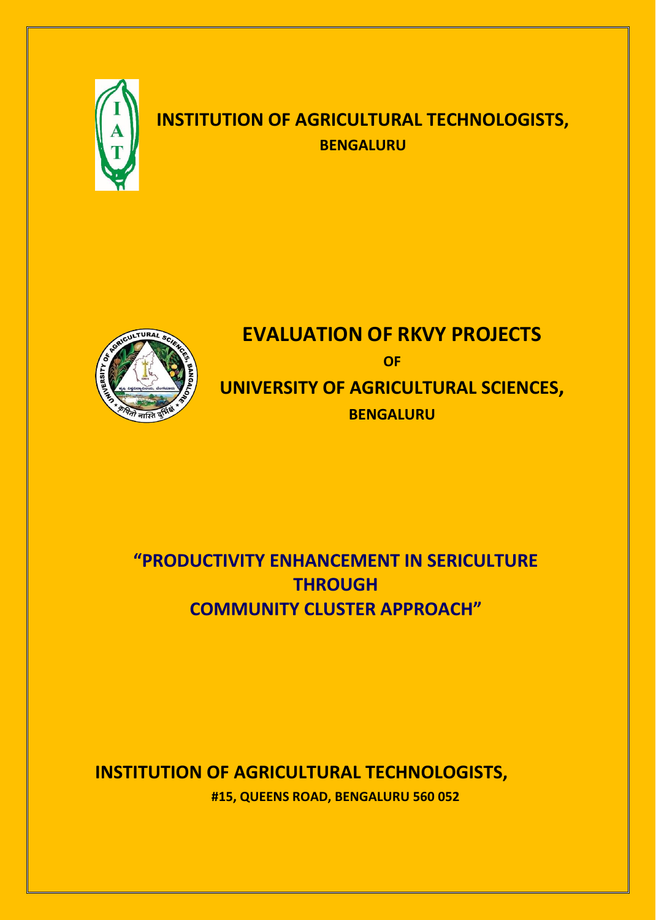

# **INSTITUTION OF AGRICULTURAL TECHNOLOGISTS, BENGALURU**



# **EVALUATION OF RKVY PROJECTS OF UNIVERSITY OF AGRICULTURAL SCIENCES, BENGALURU**

# **"PRODUCTIVITY ENHANCEMENT IN SERICULTURE THROUGH COMMUNITY CLUSTER APPROACH"**

## **INSTITUTION OF AGRICULTURAL TECHNOLOGISTS, #15, QUEENS ROAD, BENGALURU 560 052**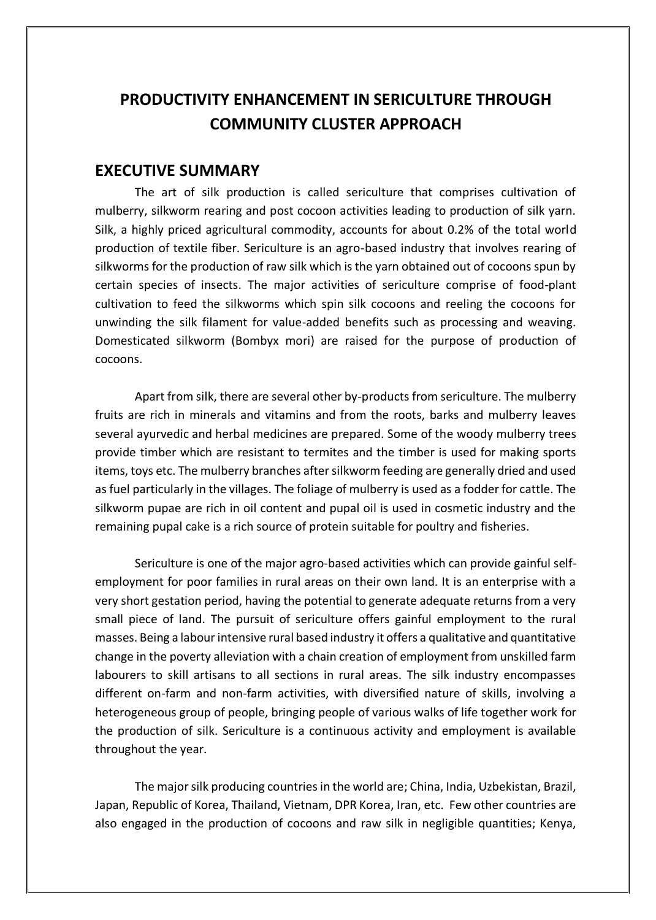### **EXECUTIVE SUMMARY**

The art of silk production is called sericulture that comprises cultivation of mulberry, silkworm rearing and post cocoon activities leading to production of silk yarn. Silk, a highly priced agricultural commodity, accounts for about 0.2% of the total world production of textile fiber. Sericulture is an agro-based industry that involves rearing of silkworms for the production of raw silk which is the yarn obtained out of cocoons spun by certain species of insects. The major activities of sericulture comprise of food-plant cultivation to feed the silkworms which spin silk cocoons and reeling the cocoons for unwinding the silk filament for value-added benefits such as processing and weaving. Domesticated silkworm (Bombyx mori) are raised for the purpose of production of cocoons.

Apart from silk, there are several other by-products from sericulture. The mulberry fruits are rich in minerals and vitamins and from the roots, barks and mulberry leaves several ayurvedic and herbal medicines are prepared. Some of the woody mulberry trees provide timber which are resistant to termites and the timber is used for making sports items, toys etc. The mulberry branches after silkworm feeding are generally dried and used as fuel particularly in the villages. The foliage of mulberry is used as a fodder for cattle. The silkworm pupae are rich in oil content and pupal oil is used in cosmetic industry and the remaining pupal cake is a rich source of protein suitable for poultry and fisheries.

Sericulture is one of the major agro-based activities which can provide gainful selfemployment for poor families in rural areas on their own land. It is an enterprise with a very short gestation period, having the potential to generate adequate returns from a very small piece of land. The pursuit of sericulture offers gainful employment to the rural masses. Being a labour intensive rural based industry it offers a qualitative and quantitative change in the poverty alleviation with a chain creation of employment from unskilled farm labourers to skill artisans to all sections in rural areas. The silk industry encompasses different on-farm and non-farm activities, with diversified nature of skills, involving a heterogeneous group of people, bringing people of various walks of life together work for the production of silk. Sericulture is a continuous activity and employment is available throughout the year.

The major silk producing countries in the world are; China, India, Uzbekistan, Brazil, Japan, Republic of Korea, Thailand, Vietnam, DPR Korea, Iran, etc. Few other countries are also engaged in the production of cocoons and raw silk in negligible quantities; Kenya,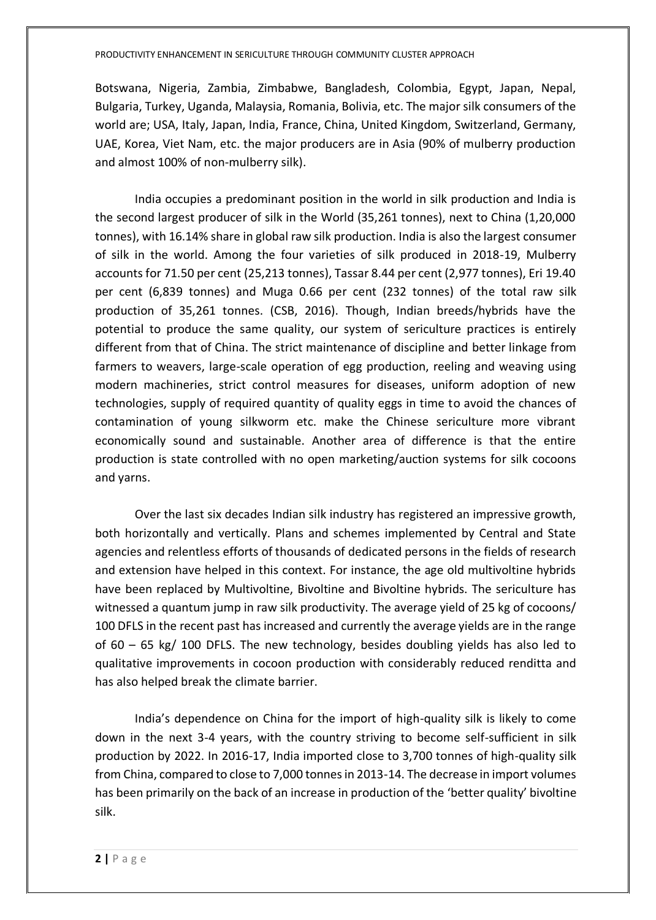Botswana, Nigeria, Zambia, Zimbabwe, Bangladesh, Colombia, Egypt, Japan, Nepal, Bulgaria, Turkey, Uganda, Malaysia, Romania, Bolivia, etc. The major silk consumers of the world are; USA, Italy, Japan, India, France, China, United Kingdom, Switzerland, Germany, UAE, Korea, Viet Nam, etc. the major producers are in Asia (90% of mulberry production and almost 100% of non-mulberry silk).

India occupies a predominant position in the world in silk production and India is the second largest producer of silk in the World (35,261 tonnes), next to China (1,20,000 tonnes), with 16.14% share in global raw silk production. India is also the largest consumer of silk in the world. Among the four varieties of silk produced in 2018-19, Mulberry accounts for 71.50 per cent (25,213 tonnes), Tassar 8.44 per cent (2,977 tonnes), Eri 19.40 per cent (6,839 tonnes) and Muga 0.66 per cent (232 tonnes) of the total raw silk production of 35,261 tonnes. (CSB, 2016). Though, Indian breeds/hybrids have the potential to produce the same quality, our system of sericulture practices is entirely different from that of China. The strict maintenance of discipline and better linkage from farmers to weavers, large-scale operation of egg production, reeling and weaving using modern machineries, strict control measures for diseases, uniform adoption of new technologies, supply of required quantity of quality eggs in time to avoid the chances of contamination of young silkworm etc. make the Chinese sericulture more vibrant economically sound and sustainable. Another area of difference is that the entire production is state controlled with no open marketing/auction systems for silk cocoons and yarns.

Over the last six decades Indian silk industry has registered an impressive growth, both horizontally and vertically. Plans and schemes implemented by Central and State agencies and relentless efforts of thousands of dedicated persons in the fields of research and extension have helped in this context. For instance, the age old multivoltine hybrids have been replaced by Multivoltine, Bivoltine and Bivoltine hybrids. The sericulture has witnessed a quantum jump in raw silk productivity. The average yield of 25 kg of cocoons/ 100 DFLS in the recent past has increased and currently the average yields are in the range of 60 – 65 kg/ 100 DFLS. The new technology, besides doubling yields has also led to qualitative improvements in cocoon production with considerably reduced renditta and has also helped break the climate barrier.

India's dependence on China for the import of high-quality silk is likely to come down in the next 3-4 years, with the country striving to become self-sufficient in silk production by 2022. In 2016-17, India imported close to 3,700 tonnes of high-quality silk from China, compared to close to 7,000 tonnes in 2013-14. The decrease in import volumes has been primarily on the back of an increase in production of the 'better quality' bivoltine silk.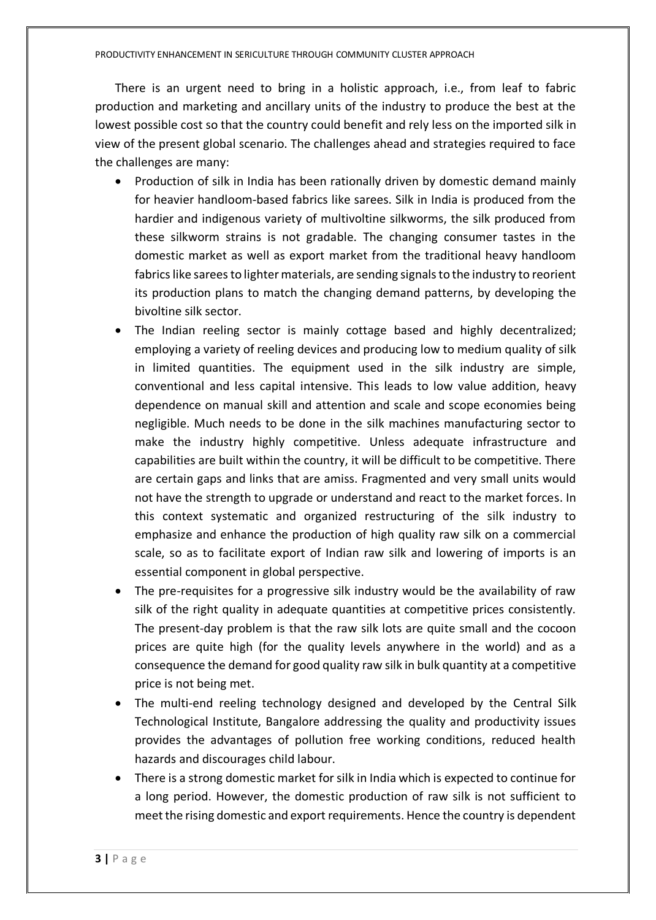There is an urgent need to bring in a holistic approach, i.e., from leaf to fabric production and marketing and ancillary units of the industry to produce the best at the lowest possible cost so that the country could benefit and rely less on the imported silk in view of the present global scenario. The challenges ahead and strategies required to face the challenges are many:

- Production of silk in India has been rationally driven by domestic demand mainly for heavier handloom-based fabrics like sarees. Silk in India is produced from the hardier and indigenous variety of multivoltine silkworms, the silk produced from these silkworm strains is not gradable. The changing consumer tastes in the domestic market as well as export market from the traditional heavy handloom fabrics like sarees to lighter materials, are sending signals to the industry to reorient its production plans to match the changing demand patterns, by developing the bivoltine silk sector.
- The Indian reeling sector is mainly cottage based and highly decentralized; employing a variety of reeling devices and producing low to medium quality of silk in limited quantities. The equipment used in the silk industry are simple, conventional and less capital intensive. This leads to low value addition, heavy dependence on manual skill and attention and scale and scope economies being negligible. Much needs to be done in the silk machines manufacturing sector to make the industry highly competitive. Unless adequate infrastructure and capabilities are built within the country, it will be difficult to be competitive. There are certain gaps and links that are amiss. Fragmented and very small units would not have the strength to upgrade or understand and react to the market forces. In this context systematic and organized restructuring of the silk industry to emphasize and enhance the production of high quality raw silk on a commercial scale, so as to facilitate export of Indian raw silk and lowering of imports is an essential component in global perspective.
- The pre-requisites for a progressive silk industry would be the availability of raw silk of the right quality in adequate quantities at competitive prices consistently. The present-day problem is that the raw silk lots are quite small and the cocoon prices are quite high (for the quality levels anywhere in the world) and as a consequence the demand for good quality raw silk in bulk quantity at a competitive price is not being met.
- The multi-end reeling technology designed and developed by the Central Silk Technological Institute, Bangalore addressing the quality and productivity issues provides the advantages of pollution free working conditions, reduced health hazards and discourages child labour.
- There is a strong domestic market for silk in India which is expected to continue for a long period. However, the domestic production of raw silk is not sufficient to meet the rising domestic and export requirements. Hence the country is dependent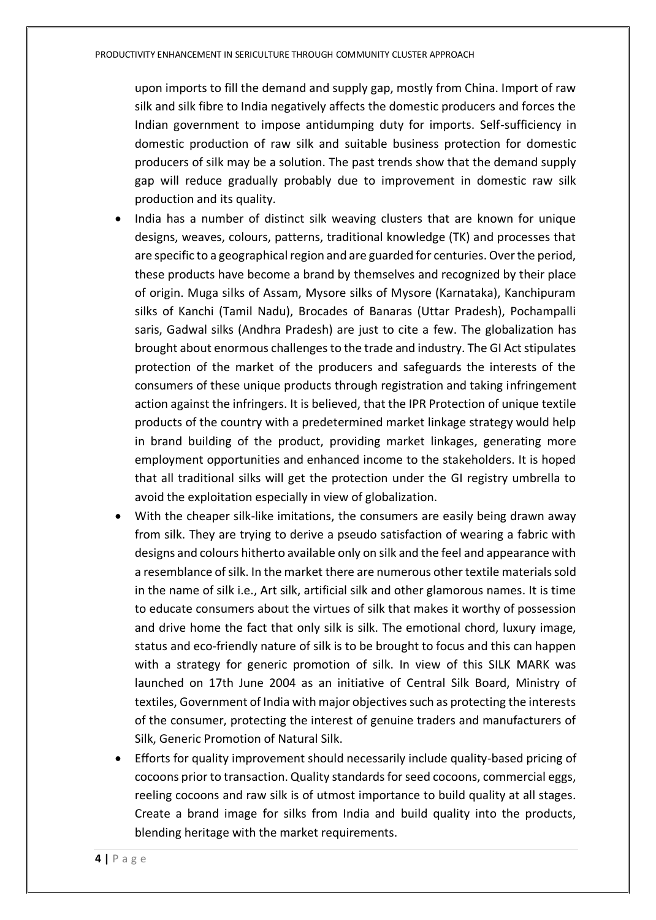upon imports to fill the demand and supply gap, mostly from China. Import of raw silk and silk fibre to India negatively affects the domestic producers and forces the Indian government to impose antidumping duty for imports. Self-sufficiency in domestic production of raw silk and suitable business protection for domestic producers of silk may be a solution. The past trends show that the demand supply gap will reduce gradually probably due to improvement in domestic raw silk production and its quality.

- India has a number of distinct silk weaving clusters that are known for unique designs, weaves, colours, patterns, traditional knowledge (TK) and processes that are specific to a geographical region and are guarded for centuries. Over the period, these products have become a brand by themselves and recognized by their place of origin. Muga silks of Assam, Mysore silks of Mysore (Karnataka), Kanchipuram silks of Kanchi (Tamil Nadu), Brocades of Banaras (Uttar Pradesh), Pochampalli saris, Gadwal silks (Andhra Pradesh) are just to cite a few. The globalization has brought about enormous challenges to the trade and industry. The GI Act stipulates protection of the market of the producers and safeguards the interests of the consumers of these unique products through registration and taking infringement action against the infringers. It is believed, that the IPR Protection of unique textile products of the country with a predetermined market linkage strategy would help in brand building of the product, providing market linkages, generating more employment opportunities and enhanced income to the stakeholders. It is hoped that all traditional silks will get the protection under the GI registry umbrella to avoid the exploitation especially in view of globalization.
- With the cheaper silk-like imitations, the consumers are easily being drawn away from silk. They are trying to derive a pseudo satisfaction of wearing a fabric with designs and colours hitherto available only on silk and the feel and appearance with a resemblance of silk. In the market there are numerous other textile materials sold in the name of silk i.e., Art silk, artificial silk and other glamorous names. It is time to educate consumers about the virtues of silk that makes it worthy of possession and drive home the fact that only silk is silk. The emotional chord, luxury image, status and eco-friendly nature of silk is to be brought to focus and this can happen with a strategy for generic promotion of silk. In view of this SILK MARK was launched on 17th June 2004 as an initiative of Central Silk Board, Ministry of textiles, Government of India with major objectives such as protecting the interests of the consumer, protecting the interest of genuine traders and manufacturers of Silk, Generic Promotion of Natural Silk.
- Efforts for quality improvement should necessarily include quality-based pricing of cocoons prior to transaction. Quality standards for seed cocoons, commercial eggs, reeling cocoons and raw silk is of utmost importance to build quality at all stages. Create a brand image for silks from India and build quality into the products, blending heritage with the market requirements.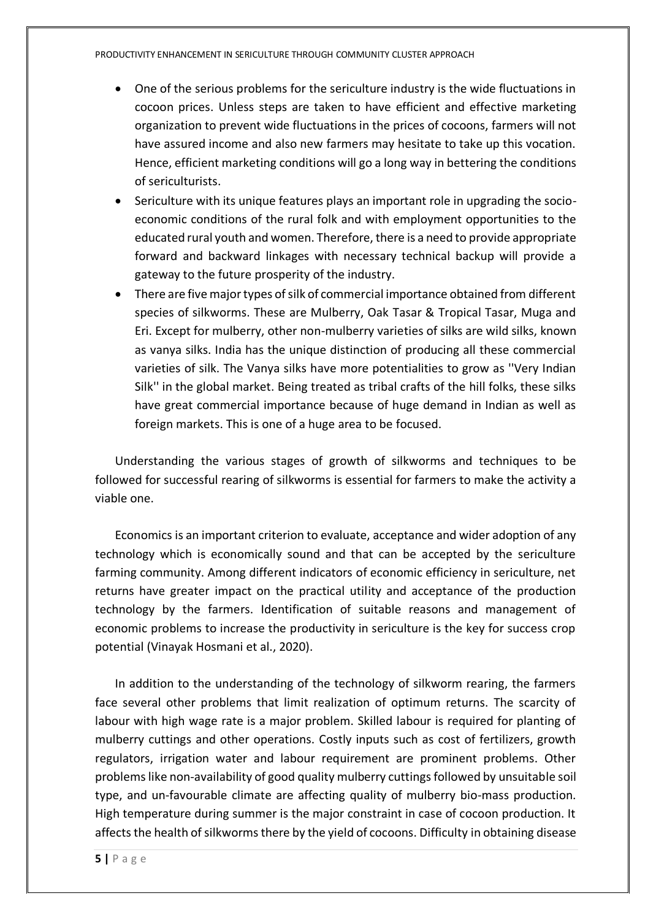- One of the serious problems for the sericulture industry is the wide fluctuations in cocoon prices. Unless steps are taken to have efficient and effective marketing organization to prevent wide fluctuations in the prices of cocoons, farmers will not have assured income and also new farmers may hesitate to take up this vocation. Hence, efficient marketing conditions will go a long way in bettering the conditions of sericulturists.
- Sericulture with its unique features plays an important role in upgrading the socioeconomic conditions of the rural folk and with employment opportunities to the educated rural youth and women. Therefore, there is a need to provide appropriate forward and backward linkages with necessary technical backup will provide a gateway to the future prosperity of the industry.
- There are five major types of silk of commercial importance obtained from different species of silkworms. These are Mulberry, Oak Tasar & Tropical Tasar, Muga and Eri. Except for mulberry, other non-mulberry varieties of silks are wild silks, known as vanya silks. India has the unique distinction of producing all these commercial varieties of silk. The Vanya silks have more potentialities to grow as ''Very Indian Silk'' in the global market. Being treated as tribal crafts of the hill folks, these silks have great commercial importance because of huge demand in Indian as well as foreign markets. This is one of a huge area to be focused.

Understanding the various stages of growth of silkworms and techniques to be followed for successful rearing of silkworms is essential for farmers to make the activity a viable one.

Economics is an important criterion to evaluate, acceptance and wider adoption of any technology which is economically sound and that can be accepted by the sericulture farming community. Among different indicators of economic efficiency in sericulture, net returns have greater impact on the practical utility and acceptance of the production technology by the farmers. Identification of suitable reasons and management of economic problems to increase the productivity in sericulture is the key for success crop potential (Vinayak Hosmani et al., 2020).

In addition to the understanding of the technology of silkworm rearing, the farmers face several other problems that limit realization of optimum returns. The scarcity of labour with high wage rate is a major problem. Skilled labour is required for planting of mulberry cuttings and other operations. Costly inputs such as cost of fertilizers, growth regulators, irrigation water and labour requirement are prominent problems. Other problems like non-availability of good quality mulberry cuttings followed by unsuitable soil type, and un-favourable climate are affecting quality of mulberry bio-mass production. High temperature during summer is the major constraint in case of cocoon production. It affects the health of silkworms there by the yield of cocoons. Difficulty in obtaining disease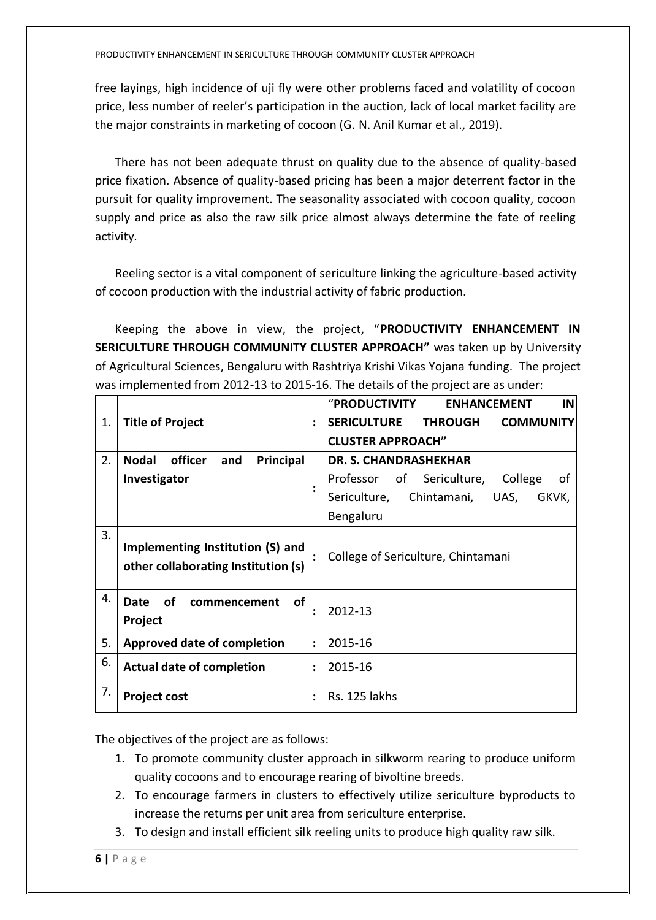free layings, high incidence of uji fly were other problems faced and volatility of cocoon price, less number of reeler's participation in the auction, lack of local market facility are the major constraints in marketing of cocoon (G. N. Anil Kumar et al., 2019).

There has not been adequate thrust on quality due to the absence of quality-based price fixation. Absence of quality-based pricing has been a major deterrent factor in the pursuit for quality improvement. The seasonality associated with cocoon quality, cocoon supply and price as also the raw silk price almost always determine the fate of reeling activity.

Reeling sector is a vital component of sericulture linking the agriculture-based activity of cocoon production with the industrial activity of fabric production.

Keeping the above in view, the project, "**PRODUCTIVITY ENHANCEMENT IN SERICULTURE THROUGH COMMUNITY CLUSTER APPROACH"** was taken up by University of Agricultural Sciences, Bengaluru with Rashtriya Krishi Vikas Yojana funding. The project was implemented from 2012-13 to 2015-16. The details of the project are as under:

|    |                                                                         |                      | "PRODUCTIVITY<br><b>ENHANCEMENT</b><br><b>IN</b>         |
|----|-------------------------------------------------------------------------|----------------------|----------------------------------------------------------|
| 1. | <b>Title of Project</b>                                                 | $\ddot{\cdot}$       | <b>SERICULTURE</b><br><b>THROUGH</b><br><b>COMMUNITY</b> |
|    |                                                                         |                      | <b>CLUSTER APPROACH"</b>                                 |
| 2. | Principal<br><b>Nodal</b><br>officer<br>and                             |                      | <b>DR. S. CHANDRASHEKHAR</b>                             |
|    | Investigator                                                            |                      | Professor of Sericulture,<br>College<br>οf               |
|    |                                                                         | $\ddot{\cdot}$       | Chintamani,<br>Sericulture,<br>UAS,<br>GKVK,             |
|    |                                                                         |                      | Bengaluru                                                |
| 3. | Implementing Institution (S) and<br>other collaborating Institution (s) | $\ddot{\cdot}$       | College of Sericulture, Chintamani                       |
| 4. | of<br>οf<br><b>Date</b><br>commencement<br>Project                      | $\ddot{\cdot}$       | 2012-13                                                  |
| 5. | <b>Approved date of completion</b>                                      | $\ddot{\phantom{a}}$ | 2015-16                                                  |
| 6. | <b>Actual date of completion</b>                                        | $\ddot{\cdot}$       | 2015-16                                                  |
| 7. | <b>Project cost</b>                                                     | $\ddot{\cdot}$       | Rs. 125 lakhs                                            |

The objectives of the project are as follows:

- 1. To promote community cluster approach in silkworm rearing to produce uniform quality cocoons and to encourage rearing of bivoltine breeds.
- 2. To encourage farmers in clusters to effectively utilize sericulture byproducts to increase the returns per unit area from sericulture enterprise.
- 3. To design and install efficient silk reeling units to produce high quality raw silk.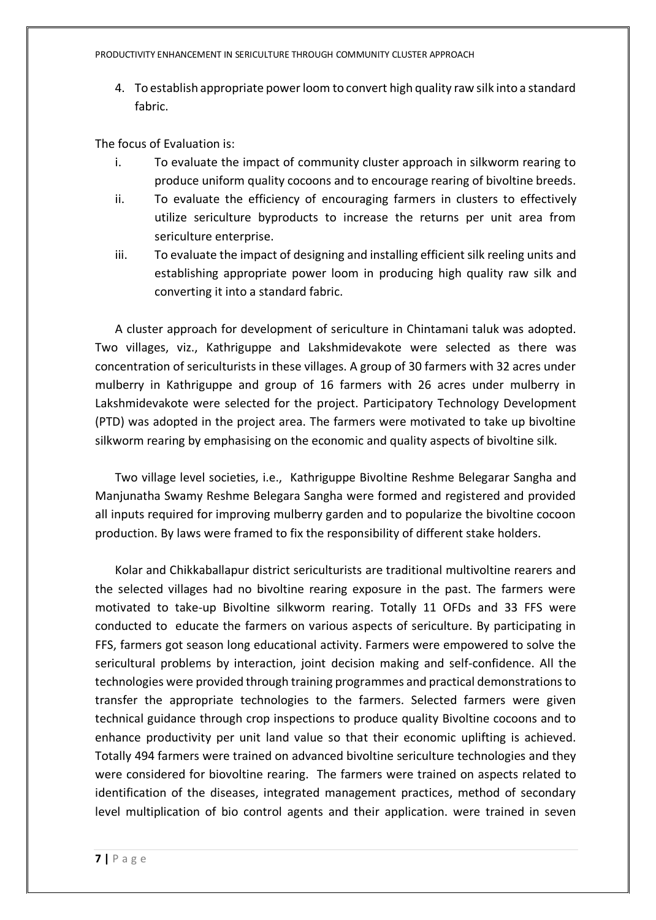4. To establish appropriate power loom to convert high quality raw silk into a standard fabric.

The focus of Evaluation is:

- i. To evaluate the impact of community cluster approach in silkworm rearing to produce uniform quality cocoons and to encourage rearing of bivoltine breeds.
- ii. To evaluate the efficiency of encouraging farmers in clusters to effectively utilize sericulture byproducts to increase the returns per unit area from sericulture enterprise.
- iii. To evaluate the impact of designing and installing efficient silk reeling units and establishing appropriate power loom in producing high quality raw silk and converting it into a standard fabric.

A cluster approach for development of sericulture in Chintamani taluk was adopted. Two villages, viz., Kathriguppe and Lakshmidevakote were selected as there was concentration of sericulturists in these villages. A group of 30 farmers with 32 acres under mulberry in Kathriguppe and group of 16 farmers with 26 acres under mulberry in Lakshmidevakote were selected for the project. Participatory Technology Development (PTD) was adopted in the project area. The farmers were motivated to take up bivoltine silkworm rearing by emphasising on the economic and quality aspects of bivoltine silk.

Two village level societies, i.e., Kathriguppe Bivoltine Reshme Belegarar Sangha and Manjunatha Swamy Reshme Belegara Sangha were formed and registered and provided all inputs required for improving mulberry garden and to popularize the bivoltine cocoon production. By laws were framed to fix the responsibility of different stake holders.

Kolar and Chikkaballapur district sericulturists are traditional multivoltine rearers and the selected villages had no bivoltine rearing exposure in the past. The farmers were motivated to take-up Bivoltine silkworm rearing. Totally 11 OFDs and 33 FFS were conducted to educate the farmers on various aspects of sericulture. By participating in FFS, farmers got season long educational activity. Farmers were empowered to solve the sericultural problems by interaction, joint decision making and self-confidence. All the technologies were provided through training programmes and practical demonstrations to transfer the appropriate technologies to the farmers. Selected farmers were given technical guidance through crop inspections to produce quality Bivoltine cocoons and to enhance productivity per unit land value so that their economic uplifting is achieved. Totally 494 farmers were trained on advanced bivoltine sericulture technologies and they were considered for biovoltine rearing. The farmers were trained on aspects related to identification of the diseases, integrated management practices, method of secondary level multiplication of bio control agents and their application. were trained in seven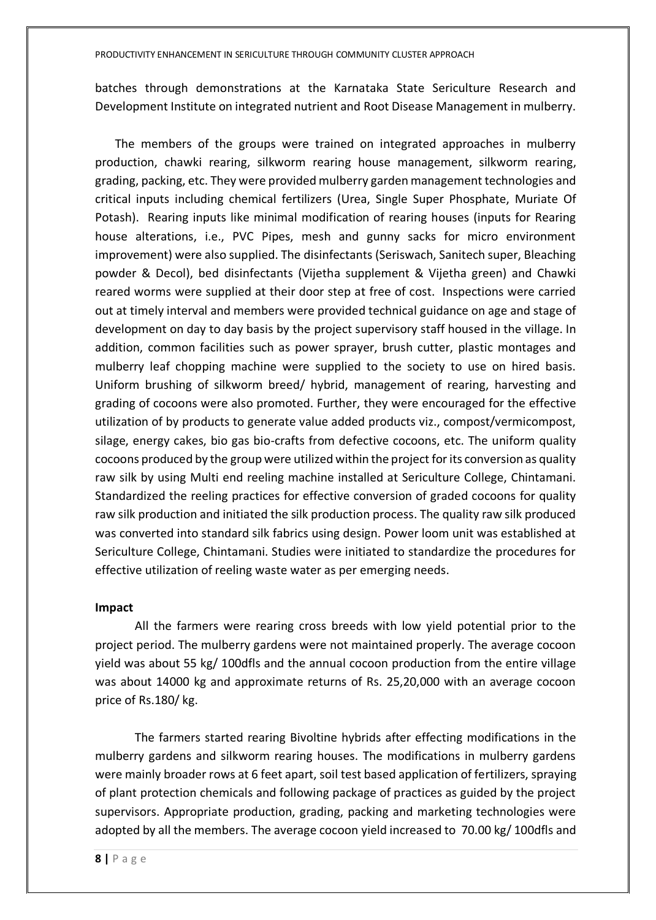batches through demonstrations at the Karnataka State Sericulture Research and Development Institute on integrated nutrient and Root Disease Management in mulberry.

The members of the groups were trained on integrated approaches in mulberry production, chawki rearing, silkworm rearing house management, silkworm rearing, grading, packing, etc. They were provided mulberry garden management technologies and critical inputs including chemical fertilizers (Urea, Single Super Phosphate, Muriate Of Potash). Rearing inputs like minimal modification of rearing houses (inputs for Rearing house alterations, i.e., PVC Pipes, mesh and gunny sacks for micro environment improvement) were also supplied. The disinfectants (Seriswach, Sanitech super, Bleaching powder & Decol), bed disinfectants (Vijetha supplement & Vijetha green) and Chawki reared worms were supplied at their door step at free of cost. Inspections were carried out at timely interval and members were provided technical guidance on age and stage of development on day to day basis by the project supervisory staff housed in the village. In addition, common facilities such as power sprayer, brush cutter, plastic montages and mulberry leaf chopping machine were supplied to the society to use on hired basis. Uniform brushing of silkworm breed/ hybrid, management of rearing, harvesting and grading of cocoons were also promoted. Further, they were encouraged for the effective utilization of by products to generate value added products viz., compost/vermicompost, silage, energy cakes, bio gas bio-crafts from defective cocoons, etc. The uniform quality cocoons produced by the group were utilized within the project for its conversion as quality raw silk by using Multi end reeling machine installed at Sericulture College, Chintamani. Standardized the reeling practices for effective conversion of graded cocoons for quality raw silk production and initiated the silk production process. The quality raw silk produced was converted into standard silk fabrics using design. Power loom unit was established at Sericulture College, Chintamani. Studies were initiated to standardize the procedures for effective utilization of reeling waste water as per emerging needs.

#### **Impact**

All the farmers were rearing cross breeds with low yield potential prior to the project period. The mulberry gardens were not maintained properly. The average cocoon yield was about 55 kg/ 100dfls and the annual cocoon production from the entire village was about 14000 kg and approximate returns of Rs. 25,20,000 with an average cocoon price of Rs.180/ kg.

The farmers started rearing Bivoltine hybrids after effecting modifications in the mulberry gardens and silkworm rearing houses. The modifications in mulberry gardens were mainly broader rows at 6 feet apart, soil test based application of fertilizers, spraying of plant protection chemicals and following package of practices as guided by the project supervisors. Appropriate production, grading, packing and marketing technologies were adopted by all the members. The average cocoon yield increased to 70.00 kg/ 100dfls and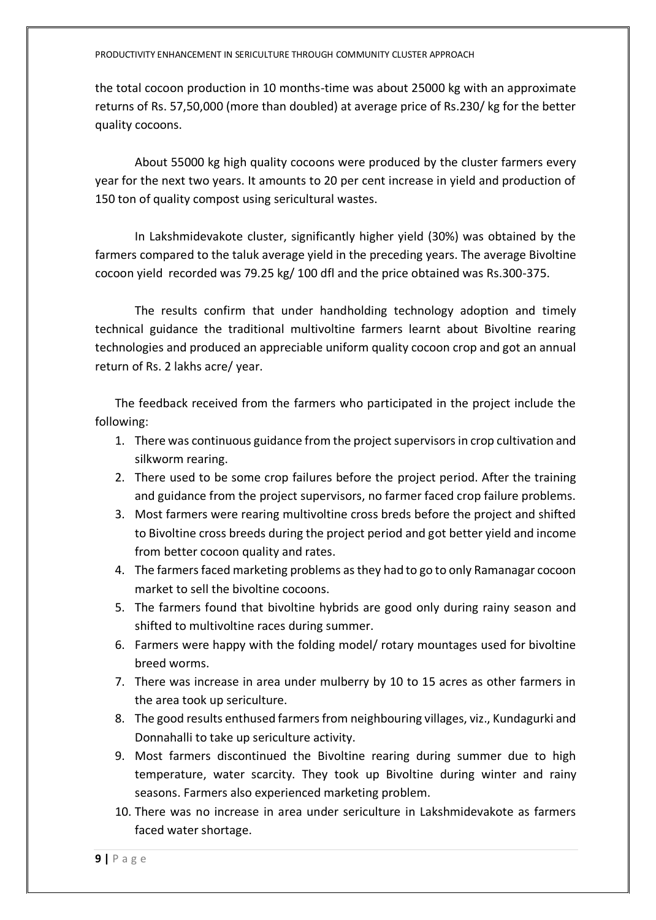the total cocoon production in 10 months-time was about 25000 kg with an approximate returns of Rs. 57,50,000 (more than doubled) at average price of Rs.230/ kg for the better quality cocoons.

About 55000 kg high quality cocoons were produced by the cluster farmers every year for the next two years. It amounts to 20 per cent increase in yield and production of 150 ton of quality compost using sericultural wastes.

In Lakshmidevakote cluster, significantly higher yield (30%) was obtained by the farmers compared to the taluk average yield in the preceding years. The average Bivoltine cocoon yield recorded was 79.25 kg/ 100 dfl and the price obtained was Rs.300-375.

The results confirm that under handholding technology adoption and timely technical guidance the traditional multivoltine farmers learnt about Bivoltine rearing technologies and produced an appreciable uniform quality cocoon crop and got an annual return of Rs. 2 lakhs acre/ year.

The feedback received from the farmers who participated in the project include the following:

- 1. There was continuous guidance from the project supervisors in crop cultivation and silkworm rearing.
- 2. There used to be some crop failures before the project period. After the training and guidance from the project supervisors, no farmer faced crop failure problems.
- 3. Most farmers were rearing multivoltine cross breds before the project and shifted to Bivoltine cross breeds during the project period and got better yield and income from better cocoon quality and rates.
- 4. The farmers faced marketing problems as they had to go to only Ramanagar cocoon market to sell the bivoltine cocoons.
- 5. The farmers found that bivoltine hybrids are good only during rainy season and shifted to multivoltine races during summer.
- 6. Farmers were happy with the folding model/ rotary mountages used for bivoltine breed worms.
- 7. There was increase in area under mulberry by 10 to 15 acres as other farmers in the area took up sericulture.
- 8. The good results enthused farmers from neighbouring villages, viz., Kundagurki and Donnahalli to take up sericulture activity.
- 9. Most farmers discontinued the Bivoltine rearing during summer due to high temperature, water scarcity. They took up Bivoltine during winter and rainy seasons. Farmers also experienced marketing problem.
- 10. There was no increase in area under sericulture in Lakshmidevakote as farmers faced water shortage.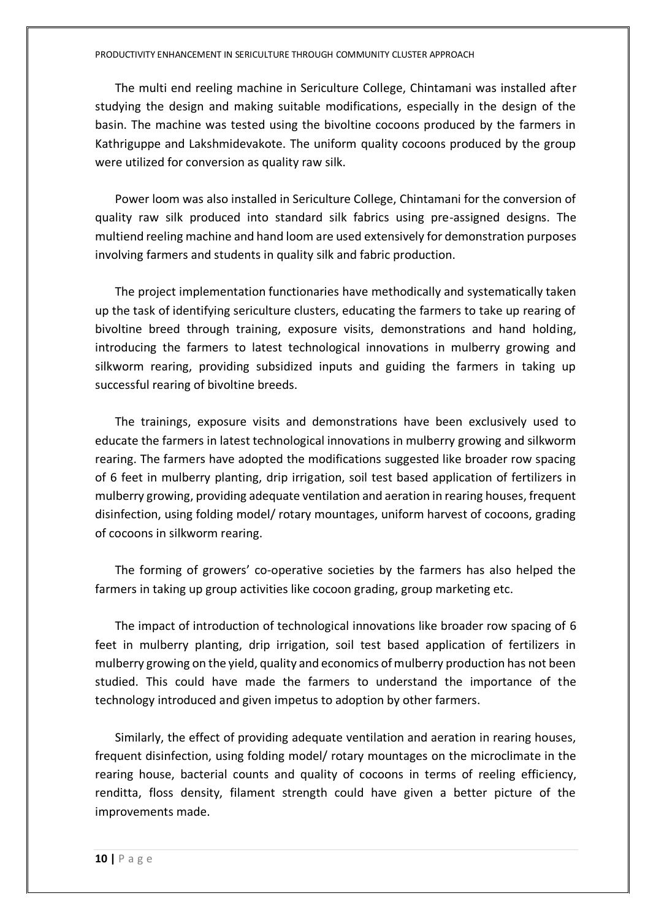The multi end reeling machine in Sericulture College, Chintamani was installed after studying the design and making suitable modifications, especially in the design of the basin. The machine was tested using the bivoltine cocoons produced by the farmers in Kathriguppe and Lakshmidevakote. The uniform quality cocoons produced by the group were utilized for conversion as quality raw silk.

Power loom was also installed in Sericulture College, Chintamani for the conversion of quality raw silk produced into standard silk fabrics using pre-assigned designs. The multiend reeling machine and hand loom are used extensively for demonstration purposes involving farmers and students in quality silk and fabric production.

The project implementation functionaries have methodically and systematically taken up the task of identifying sericulture clusters, educating the farmers to take up rearing of bivoltine breed through training, exposure visits, demonstrations and hand holding, introducing the farmers to latest technological innovations in mulberry growing and silkworm rearing, providing subsidized inputs and guiding the farmers in taking up successful rearing of bivoltine breeds.

The trainings, exposure visits and demonstrations have been exclusively used to educate the farmers in latest technological innovations in mulberry growing and silkworm rearing. The farmers have adopted the modifications suggested like broader row spacing of 6 feet in mulberry planting, drip irrigation, soil test based application of fertilizers in mulberry growing, providing adequate ventilation and aeration in rearing houses, frequent disinfection, using folding model/ rotary mountages, uniform harvest of cocoons, grading of cocoons in silkworm rearing.

The forming of growers' co-operative societies by the farmers has also helped the farmers in taking up group activities like cocoon grading, group marketing etc.

The impact of introduction of technological innovations like broader row spacing of 6 feet in mulberry planting, drip irrigation, soil test based application of fertilizers in mulberry growing on the yield, quality and economics of mulberry production has not been studied. This could have made the farmers to understand the importance of the technology introduced and given impetus to adoption by other farmers.

Similarly, the effect of providing adequate ventilation and aeration in rearing houses, frequent disinfection, using folding model/ rotary mountages on the microclimate in the rearing house, bacterial counts and quality of cocoons in terms of reeling efficiency, renditta, floss density, filament strength could have given a better picture of the improvements made.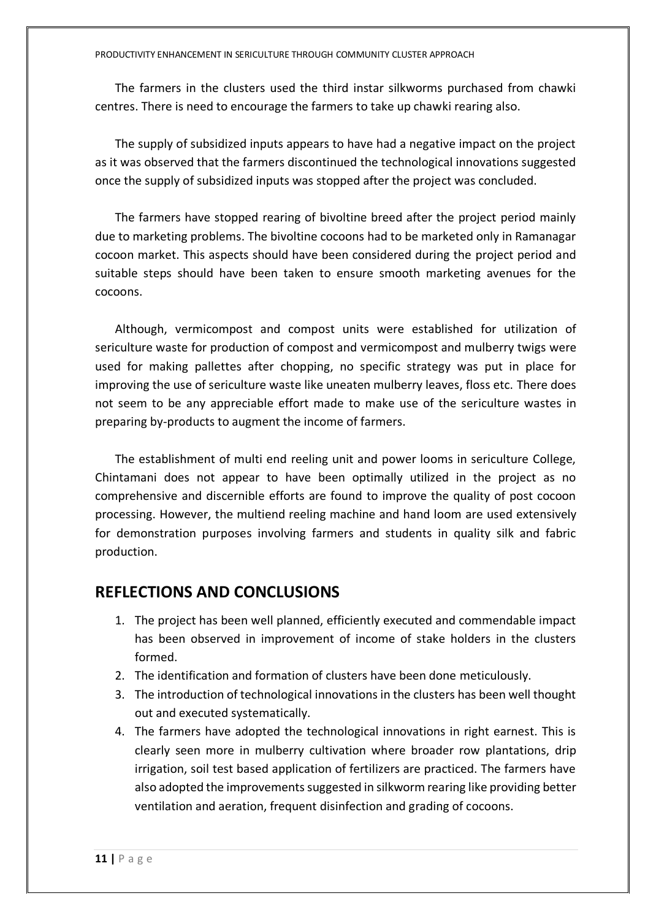The farmers in the clusters used the third instar silkworms purchased from chawki centres. There is need to encourage the farmers to take up chawki rearing also.

The supply of subsidized inputs appears to have had a negative impact on the project as it was observed that the farmers discontinued the technological innovations suggested once the supply of subsidized inputs was stopped after the project was concluded.

The farmers have stopped rearing of bivoltine breed after the project period mainly due to marketing problems. The bivoltine cocoons had to be marketed only in Ramanagar cocoon market. This aspects should have been considered during the project period and suitable steps should have been taken to ensure smooth marketing avenues for the cocoons.

Although, vermicompost and compost units were established for utilization of sericulture waste for production of compost and vermicompost and mulberry twigs were used for making pallettes after chopping, no specific strategy was put in place for improving the use of sericulture waste like uneaten mulberry leaves, floss etc. There does not seem to be any appreciable effort made to make use of the sericulture wastes in preparing by-products to augment the income of farmers.

The establishment of multi end reeling unit and power looms in sericulture College, Chintamani does not appear to have been optimally utilized in the project as no comprehensive and discernible efforts are found to improve the quality of post cocoon processing. However, the multiend reeling machine and hand loom are used extensively for demonstration purposes involving farmers and students in quality silk and fabric production.

### **REFLECTIONS AND CONCLUSIONS**

- 1. The project has been well planned, efficiently executed and commendable impact has been observed in improvement of income of stake holders in the clusters formed.
- 2. The identification and formation of clusters have been done meticulously.
- 3. The introduction of technological innovations in the clusters has been well thought out and executed systematically.
- 4. The farmers have adopted the technological innovations in right earnest. This is clearly seen more in mulberry cultivation where broader row plantations, drip irrigation, soil test based application of fertilizers are practiced. The farmers have also adopted the improvements suggested in silkworm rearing like providing better ventilation and aeration, frequent disinfection and grading of cocoons.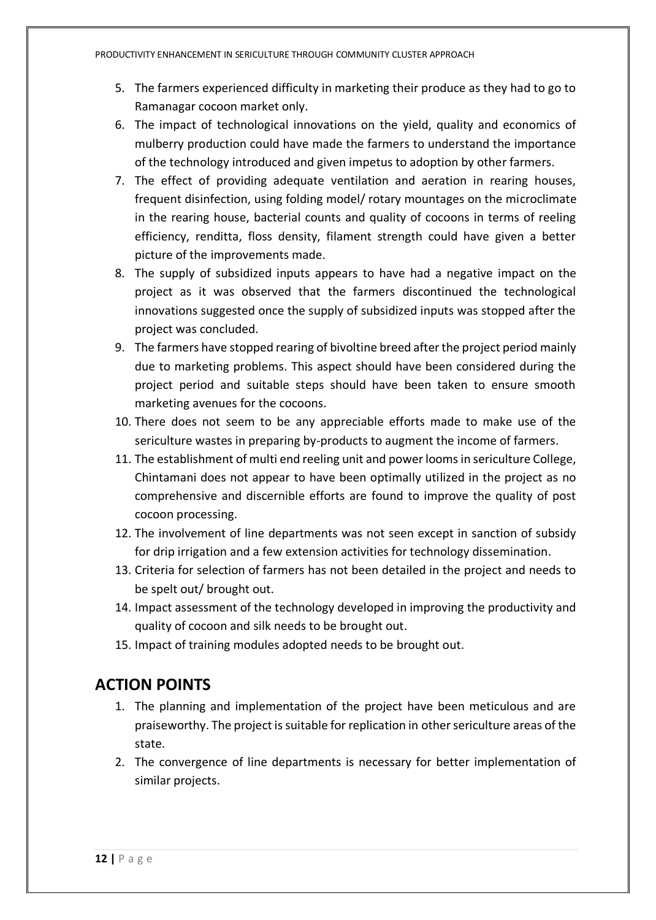- 5. The farmers experienced difficulty in marketing their produce as they had to go to Ramanagar cocoon market only.
- 6. The impact of technological innovations on the yield, quality and economics of mulberry production could have made the farmers to understand the importance of the technology introduced and given impetus to adoption by other farmers.
- 7. The effect of providing adequate ventilation and aeration in rearing houses, frequent disinfection, using folding model/ rotary mountages on the microclimate in the rearing house, bacterial counts and quality of cocoons in terms of reeling efficiency, renditta, floss density, filament strength could have given a better picture of the improvements made.
- 8. The supply of subsidized inputs appears to have had a negative impact on the project as it was observed that the farmers discontinued the technological innovations suggested once the supply of subsidized inputs was stopped after the project was concluded.
- 9. The farmers have stopped rearing of bivoltine breed after the project period mainly due to marketing problems. This aspect should have been considered during the project period and suitable steps should have been taken to ensure smooth marketing avenues for the cocoons.
- 10. There does not seem to be any appreciable efforts made to make use of the sericulture wastes in preparing by-products to augment the income of farmers.
- 11. The establishment of multi end reeling unit and power looms in sericulture College, Chintamani does not appear to have been optimally utilized in the project as no comprehensive and discernible efforts are found to improve the quality of post cocoon processing.
- 12. The involvement of line departments was not seen except in sanction of subsidy for drip irrigation and a few extension activities for technology dissemination.
- 13. Criteria for selection of farmers has not been detailed in the project and needs to be spelt out/ brought out.
- 14. Impact assessment of the technology developed in improving the productivity and quality of cocoon and silk needs to be brought out.
- 15. Impact of training modules adopted needs to be brought out.

## **ACTION POINTS**

- 1. The planning and implementation of the project have been meticulous and are praiseworthy. The project is suitable for replication in other sericulture areas of the state.
- 2. The convergence of line departments is necessary for better implementation of similar projects.